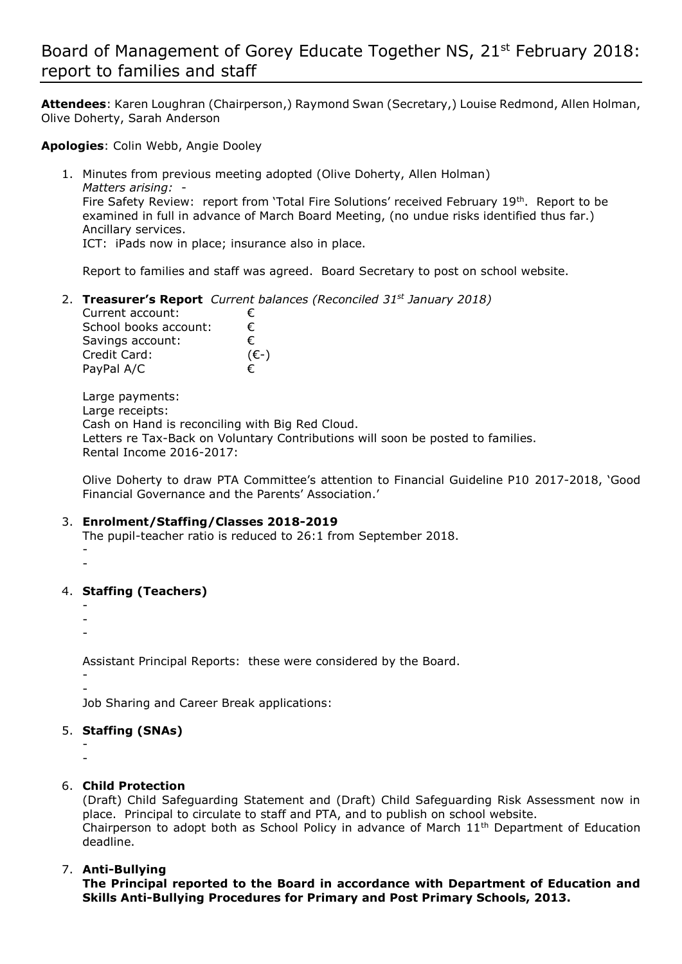# Board of Management of Gorey Educate Together NS, 21st February 2018: report to families and staff

**Attendees**: Karen Loughran (Chairperson,) Raymond Swan (Secretary,) Louise Redmond, Allen Holman, Olive Doherty, Sarah Anderson

**Apologies**: Colin Webb, Angie Dooley

1. Minutes from previous meeting adopted (Olive Doherty, Allen Holman) *Matters arising:* - Fire Safety Review: report from 'Total Fire Solutions' received February 19th. Report to be examined in full in advance of March Board Meeting, (no undue risks identified thus far.) Ancillary services. ICT: iPads now in place; insurance also in place.

Report to families and staff was agreed. Board Secretary to post on school website.

2. **Treasurer's Report** *Current balances (Reconciled 31st January 2018)*

| €.             |
|----------------|
| €              |
| €              |
| $(\epsilon$ -) |
| €              |
|                |

Large payments: Large receipts: Cash on Hand is reconciling with Big Red Cloud. Letters re Tax-Back on Voluntary Contributions will soon be posted to families. Rental Income 2016-2017:

Olive Doherty to draw PTA Committee's attention to Financial Guideline P10 2017-2018, 'Good Financial Governance and the Parents' Association.'

#### 3. **Enrolment/Staffing/Classes 2018-2019**

The pupil-teacher ratio is reduced to 26:1 from September 2018. - -

4. **Staffing (Teachers)**

- -

-

Assistant Principal Reports: these were considered by the Board.

- -

Job Sharing and Career Break applications:

#### 5. **Staffing (SNAs)**

- -

#### 6. **Child Protection**

(Draft) Child Safeguarding Statement and (Draft) Child Safeguarding Risk Assessment now in place. Principal to circulate to staff and PTA, and to publish on school website. Chairperson to adopt both as School Policy in advance of March 11th Department of Education deadline.

### 7. **Anti-Bullying**

**The Principal reported to the Board in accordance with Department of Education and Skills Anti-Bullying Procedures for Primary and Post Primary Schools, 2013.**